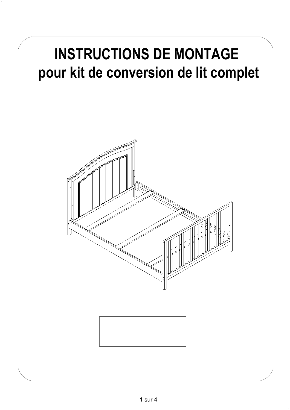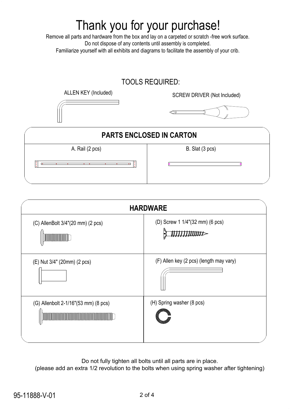# Thank you for your purchase!

Remove all parts and hardware from the box and lay on a carpeted or scratch -free work surface. Do not dispose of any contents until assembly is completed. Familiarize yourself with all exhibits and diagrams to facilitate the assembly of your crib.

### TOOLS REQUIRED:

ALLEN KEY (Included) SCREW DRIVER (Not Included)



## $\iff$



| <b>HARDWARE</b>                                                    |                                         |
|--------------------------------------------------------------------|-----------------------------------------|
| (C) AllenBolt 3/4"(20 mm) (2 pcs)<br><b>CONTRACTOR</b>             | (D) Screw 1 1/4"(32 mm) (6 pcs)         |
| (E) Nut 3/4" (20mm) (2 pcs)                                        | (F) Allen key (2 pcs) (length may vary) |
| (G) Allenbolt 2-1/16"(53 mm) (8 pcs)<br><u> Harrison (Barbara)</u> | (H) Spring washer (8 pcs)               |

Do not fully tighten all bolts until all parts are in place.

(please add an extra 1/2 revolution to the bolts when using spring washer after tightening)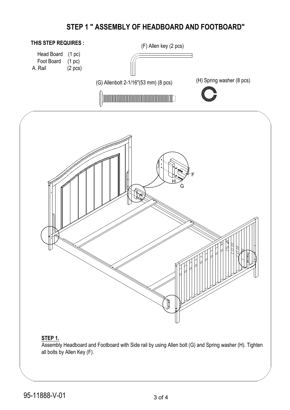### **STEP 1 " ASSEMBLY OF HEADBOARD AND FOOTBOARD"**